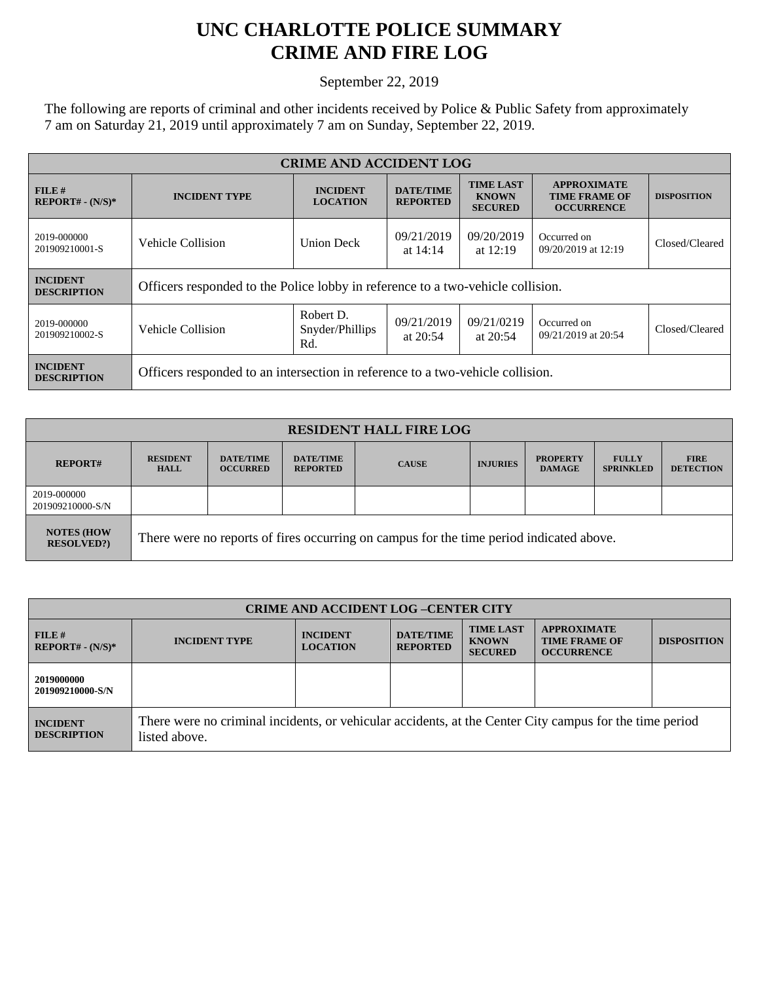## **UNC CHARLOTTE POLICE SUMMARY CRIME AND FIRE LOG**

September 22, 2019

The following are reports of criminal and other incidents received by Police & Public Safety from approximately 7 am on Saturday 21, 2019 until approximately 7 am on Sunday, September 22, 2019.

| <b>CRIME AND ACCIDENT LOG</b>         |                                                                                 |                                     |                                     |                                                    |                                                                 |                    |  |
|---------------------------------------|---------------------------------------------------------------------------------|-------------------------------------|-------------------------------------|----------------------------------------------------|-----------------------------------------------------------------|--------------------|--|
| FILE H<br>$REPORT# - (N/S)*$          | <b>INCIDENT TYPE</b>                                                            | <b>INCIDENT</b><br><b>LOCATION</b>  | <b>DATE/TIME</b><br><b>REPORTED</b> | <b>TIME LAST</b><br><b>KNOWN</b><br><b>SECURED</b> | <b>APPROXIMATE</b><br><b>TIME FRAME OF</b><br><b>OCCURRENCE</b> | <b>DISPOSITION</b> |  |
| 2019-000000<br>201909210001-S         | Vehicle Collision                                                               | <b>Union Deck</b>                   | 09/21/2019<br>at $14:14$            | 09/20/2019<br>at $12:19$                           | Occurred on<br>09/20/2019 at 12:19                              | Closed/Cleared     |  |
| <b>INCIDENT</b><br><b>DESCRIPTION</b> | Officers responded to the Police lobby in reference to a two-vehicle collision. |                                     |                                     |                                                    |                                                                 |                    |  |
| 2019-000000<br>201909210002-S         | Vehicle Collision                                                               | Robert D.<br>Snyder/Phillips<br>Rd. | 09/21/2019<br>at $20:54$            | 09/21/0219<br>at $20:54$                           | Occurred on<br>09/21/2019 at 20:54                              | Closed/Cleared     |  |
| <b>INCIDENT</b><br><b>DESCRIPTION</b> | Officers responded to an intersection in reference to a two-vehicle collision.  |                                     |                                     |                                                    |                                                                 |                    |  |

| <b>RESIDENT HALL FIRE LOG</b>         |                                                                                         |                                     |                                     |              |                 |                                  |                                  |                                 |
|---------------------------------------|-----------------------------------------------------------------------------------------|-------------------------------------|-------------------------------------|--------------|-----------------|----------------------------------|----------------------------------|---------------------------------|
| <b>REPORT#</b>                        | <b>RESIDENT</b><br><b>HALL</b>                                                          | <b>DATE/TIME</b><br><b>OCCURRED</b> | <b>DATE/TIME</b><br><b>REPORTED</b> | <b>CAUSE</b> | <b>INJURIES</b> | <b>PROPERTY</b><br><b>DAMAGE</b> | <b>FULLY</b><br><b>SPRINKLED</b> | <b>FIRE</b><br><b>DETECTION</b> |
| 2019-000000<br>201909210000-S/N       |                                                                                         |                                     |                                     |              |                 |                                  |                                  |                                 |
| <b>NOTES (HOW</b><br><b>RESOLVED?</b> | There were no reports of fires occurring on campus for the time period indicated above. |                                     |                                     |              |                 |                                  |                                  |                                 |

| <b>CRIME AND ACCIDENT LOG-CENTER CITY</b> |                                                                                                                          |                                    |                                     |                                                    |                                                                 |                    |
|-------------------------------------------|--------------------------------------------------------------------------------------------------------------------------|------------------------------------|-------------------------------------|----------------------------------------------------|-----------------------------------------------------------------|--------------------|
| FILE H<br>$REPORT# - (N/S)*$              | <b>INCIDENT TYPE</b>                                                                                                     | <b>INCIDENT</b><br><b>LOCATION</b> | <b>DATE/TIME</b><br><b>REPORTED</b> | <b>TIME LAST</b><br><b>KNOWN</b><br><b>SECURED</b> | <b>APPROXIMATE</b><br><b>TIME FRAME OF</b><br><b>OCCURRENCE</b> | <b>DISPOSITION</b> |
| 2019000000<br>201909210000-S/N            |                                                                                                                          |                                    |                                     |                                                    |                                                                 |                    |
| <b>INCIDENT</b><br><b>DESCRIPTION</b>     | There were no criminal incidents, or vehicular accidents, at the Center City campus for the time period<br>listed above. |                                    |                                     |                                                    |                                                                 |                    |